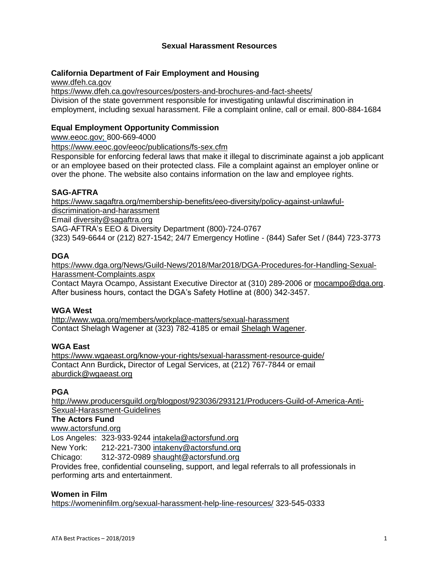## **Sexual Harassment Resources**

## **California Department of Fair Employment and Housing**

[www.dfeh.ca.gov](http://www.dfeh.ca.gov/) <https://www.dfeh.ca.gov/resources/posters-and-brochures-and-fact-sheets/> Division of the state government responsible for investigating unlawful discrimination in employment, including sexual harassment. File a complaint online, call or email. 800-884-1684

# **Equal Employment Opportunity Commission**

[www.eeoc.gov;](http://www.eeoc.gov/) 800-669-4000

<https://www.eeoc.gov/eeoc/publications/fs-sex.cfm>

Responsible for enforcing federal laws that make it illegal to discriminate against a job applicant or an employee based on their protected class. File a complaint against an employer online or over the phone. The website also contains information on the law and employee rights.

## **SAG-AFTRA**

[https://www.sagaftra.org/membership-benefits/eeo-diversity/policy-against-unlawful](https://www.sagaftra.org/membership-benefits/eeo-diversity/policy-against-unlawful-discrimination-and-harassment)[discrimination-and-harassment](https://www.sagaftra.org/membership-benefits/eeo-diversity/policy-against-unlawful-discrimination-and-harassment) Email [diversity@sagaftra.org](mailto:diversity@sagaftra.org) SAG-AFTRA's EEO & Diversity Department (800)-724-0767

(323) 549-6644 or (212) 827-1542; 24/7 Emergency Hotline - (844) Safer Set / (844) 723-3773

## **DGA**

[https://www.dga.org/News/Guild-News/2018/Mar2018/DGA-Procedures-for-Handling-Sexual-](https://www.dga.org/News/Guild-News/2018/Mar2018/DGA-Procedures-for-Handling-Sexual-Harassment-Complaints.aspx)[Harassment-Complaints.aspx](https://www.dga.org/News/Guild-News/2018/Mar2018/DGA-Procedures-for-Handling-Sexual-Harassment-Complaints.aspx)

Contact Mayra Ocampo, Assistant Executive Director at (310) 289-2006 or [mocampo@dga.org.](mailto:mocampo@dga.org?subject=Sexual%20Harassment) After business hours, contact the DGA's Safety Hotline at (800) 342-3457.

## **WGA West**

<http://www.wga.org/members/workplace-matters/sexual-harassment> Contact Shelagh Wagener at (323) 782-4185 or email [Shelagh Wagener.](https://secure.wga.org/the-guild/about-us/contact-us/contact?Email=swagener)

#### **WGA East**

<https://www.wgaeast.org/know-your-rights/sexual-harassment-resource-guide/> Contact Ann Burdick**,** Director of Legal Services, at (212) 767-7844 or email [aburdick@wgaeast.org](mailto:aburdick@wgaeast.org)

## **PGA**

[http://www.producersguild.org/blogpost/923036/293121/Producers-Guild-of-America-Anti-](http://www.producersguild.org/blogpost/923036/293121/Producers-Guild-of-America-Anti-Sexual-Harassment-Guidelines)[Sexual-Harassment-Guidelines](http://www.producersguild.org/blogpost/923036/293121/Producers-Guild-of-America-Anti-Sexual-Harassment-Guidelines)

#### **The Actors Fund**

www.actorsfund.org

Los Angeles: 323-933-9244 intakela@actorsfund.org

New York: 212-221-7300 intakeny@actorsfund.org

Chicago: 312-372-0989 shaught@actorsfund.org

Provides free, confidential counseling, support, and legal referrals to all professionals in performing arts and entertainment.

## **Women in Film**

<https://womeninfilm.org/sexual-harassment-help-line-resources/> 323-545-0333